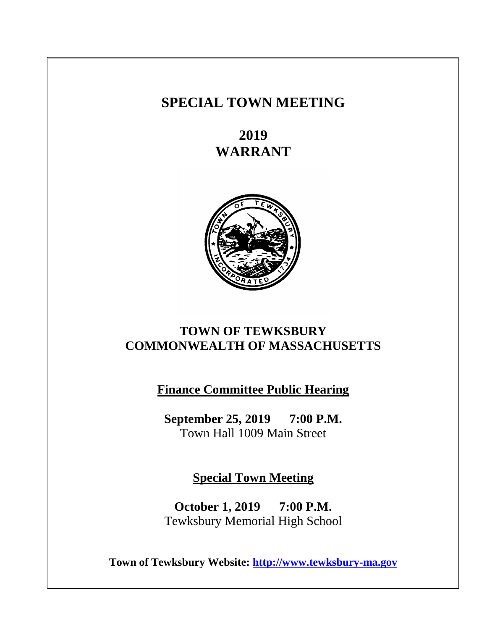# **SPECIAL TOWN MEETING**

**2019 WARRANT**



# **TOWN OF TEWKSBURY COMMONWEALTH OF MASSACHUSETTS**

**Finance Committee Public Hearing**

**September 25, 2019 7:00 P.M.** Town Hall 1009 Main Street

**Special Town Meeting**

**October 1, 2019 7:00 P.M.** Tewksbury Memorial High School

**Town of Tewksbury Website: [http://www.tewksbury-ma.gov](http://www.tewksbury-ma.gov/)**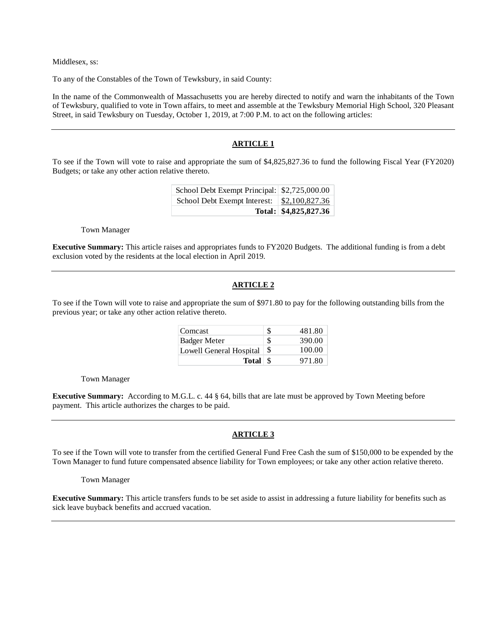Middlesex, ss:

To any of the Constables of the Town of Tewksbury, in said County:

In the name of the Commonwealth of Massachusetts you are hereby directed to notify and warn the inhabitants of the Town of Tewksbury, qualified to vote in Town affairs, to meet and assemble at the Tewksbury Memorial High School, 320 Pleasant Street, in said Tewksbury on Tuesday, October 1, 2019, at 7:00 P.M. to act on the following articles:

## **ARTICLE 1**

To see if the Town will vote to raise and appropriate the sum of \$4,825,827.36 to fund the following Fiscal Year (FY2020) Budgets; or take any other action relative thereto.

| School Debt Exempt Principal: \\$2,725,000.00     |                       |
|---------------------------------------------------|-----------------------|
| School Debt Exempt Interest: \ \ \ \$2,100,827.36 |                       |
|                                                   | Total: \$4,825,827.36 |

Town Manager

**Executive Summary:** This article raises and appropriates funds to FY2020 Budgets. The additional funding is from a debt exclusion voted by the residents at the local election in April 2019.

## **ARTICLE 2**

To see if the Town will vote to raise and appropriate the sum of \$971.80 to pay for the following outstanding bills from the previous year; or take any other action relative thereto.

| Comcast                 | S  | 481.80 |
|-------------------------|----|--------|
| <b>Badger Meter</b>     | S  | 390.00 |
| Lowell General Hospital | \$ | 100.00 |
|                         |    | 971.80 |

Town Manager

**Executive Summary:** According to M.G.L. c. 44 § 64, bills that are late must be approved by Town Meeting before payment. This article authorizes the charges to be paid.

#### **ARTICLE 3**

To see if the Town will vote to transfer from the certified General Fund Free Cash the sum of \$150,000 to be expended by the Town Manager to fund future compensated absence liability for Town employees; or take any other action relative thereto.

Town Manager

**Executive Summary:** This article transfers funds to be set aside to assist in addressing a future liability for benefits such as sick leave buyback benefits and accrued vacation.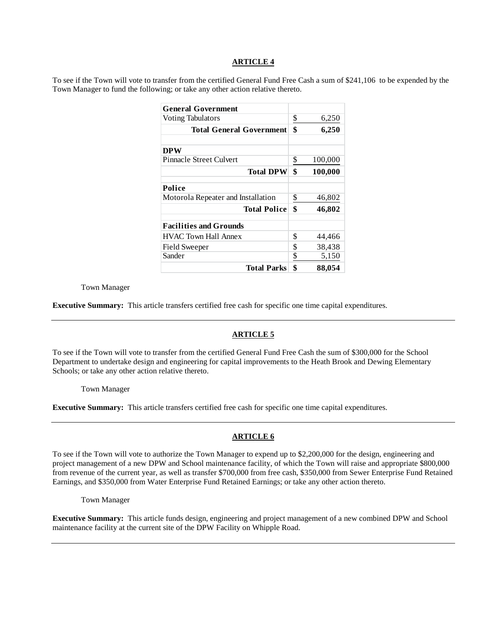To see if the Town will vote to transfer from the certified General Fund Free Cash a sum of \$241,106 to be expended by the Town Manager to fund the following; or take any other action relative thereto.

| <b>General Government</b>          |               |
|------------------------------------|---------------|
| <b>Voting Tabulators</b>           | \$<br>6,250   |
| <b>Total General Government</b>    | \$<br>6,250   |
| <b>DPW</b>                         |               |
| Pinnacle Street Culvert            | \$<br>100,000 |
| <b>Total DPW</b>                   | \$<br>100,000 |
| Police                             |               |
| Motorola Repeater and Installation | \$<br>46,802  |
| <b>Total Police</b>                | \$<br>46,802  |
| <b>Facilities and Grounds</b>      |               |
| <b>HVAC Town Hall Annex</b>        | \$<br>44,466  |
| Field Sweeper                      | \$<br>38,438  |
| Sander                             | \$<br>5,150   |
| <b>Total Parks</b>                 | \$<br>88,054  |

#### Town Manager

**Executive Summary:** This article transfers certified free cash for specific one time capital expenditures.

#### **ARTICLE 5**

To see if the Town will vote to transfer from the certified General Fund Free Cash the sum of \$300,000 for the School Department to undertake design and engineering for capital improvements to the Heath Brook and Dewing Elementary Schools; or take any other action relative thereto.

Town Manager

**Executive Summary:** This article transfers certified free cash for specific one time capital expenditures.

## **ARTICLE 6**

To see if the Town will vote to authorize the Town Manager to expend up to \$2,200,000 for the design, engineering and project management of a new DPW and School maintenance facility, of which the Town will raise and appropriate \$800,000 from revenue of the current year, as well as transfer \$700,000 from free cash, \$350,000 from Sewer Enterprise Fund Retained Earnings, and \$350,000 from Water Enterprise Fund Retained Earnings; or take any other action thereto.

Town Manager

**Executive Summary:** This article funds design, engineering and project management of a new combined DPW and School maintenance facility at the current site of the DPW Facility on Whipple Road.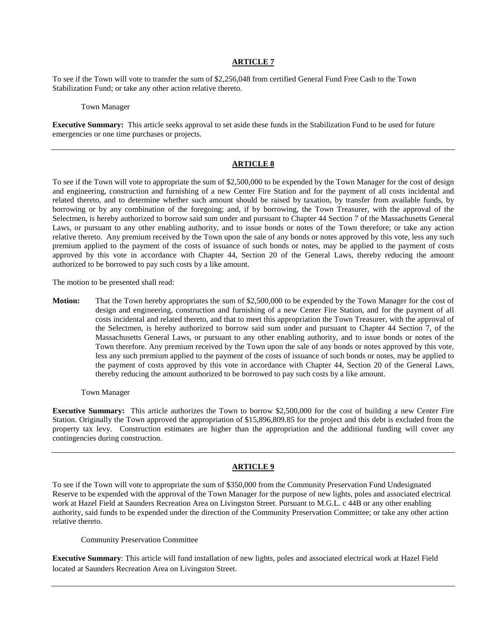To see if the Town will vote to transfer the sum of \$2,256,048 from certified General Fund Free Cash to the Town Stabilization Fund; or take any other action relative thereto.

#### Town Manager

**Executive Summary:** This article seeks approval to set aside these funds in the Stabilization Fund to be used for future emergencies or one time purchases or projects.

## **ARTICLE 8**

To see if the Town will vote to appropriate the sum of \$2,500,000 to be expended by the Town Manager for the cost of design and engineering, construction and furnishing of a new Center Fire Station and for the payment of all costs incidental and related thereto, and to determine whether such amount should be raised by taxation, by transfer from available funds, by borrowing or by any combination of the foregoing; and, if by borrowing, the Town Treasurer, with the approval of the Selectmen, is hereby authorized to borrow said sum under and pursuant to Chapter 44 Section 7 of the Massachusetts General Laws, or pursuant to any other enabling authority, and to issue bonds or notes of the Town therefore; or take any action relative thereto. Any premium received by the Town upon the sale of any bonds or notes approved by this vote, less any such premium applied to the payment of the costs of issuance of such bonds or notes, may be applied to the payment of costs approved by this vote in accordance with Chapter 44, Section 20 of the General Laws, thereby reducing the amount authorized to be borrowed to pay such costs by a like amount.

The motion to be presented shall read:

**Motion:** That the Town hereby appropriates the sum of \$2,500,000 to be expended by the Town Manager for the cost of design and engineering, construction and furnishing of a new Center Fire Station, and for the payment of all costs incidental and related thereto, and that to meet this appropriation the Town Treasurer, with the approval of the Selectmen, is hereby authorized to borrow said sum under and pursuant to Chapter 44 Section 7, of the Massachusetts General Laws, or pursuant to any other enabling authority, and to issue bonds or notes of the Town therefore. Any premium received by the Town upon the sale of any bonds or notes approved by this vote, less any such premium applied to the payment of the costs of issuance of such bonds or notes, may be applied to the payment of costs approved by this vote in accordance with Chapter 44, Section 20 of the General Laws, thereby reducing the amount authorized to be borrowed to pay such costs by a like amount.

Town Manager

**Executive Summary:** This article authorizes the Town to borrow \$2,500,000 for the cost of building a new Center Fire Station. Originally the Town approved the appropriation of \$15,896,809.85 for the project and this debt is excluded from the property tax levy. Construction estimates are higher than the appropriation and the additional funding will cover any contingencies during construction.

#### **ARTICLE 9**

To see if the Town will vote to appropriate the sum of \$350,000 from the Community Preservation Fund Undesignated Reserve to be expended with the approval of the Town Manager for the purpose of new lights, poles and associated electrical work at Hazel Field at Saunders Recreation Area on Livingston Street. Pursuant to M.G.L. c 44B or any other enabling authority, said funds to be expended under the direction of the Community Preservation Committee; or take any other action relative thereto.

Community Preservation Committee

**Executive Summary**: This article will fund installation of new lights, poles and associated electrical work at Hazel Field located at Saunders Recreation Area on Livingston Street.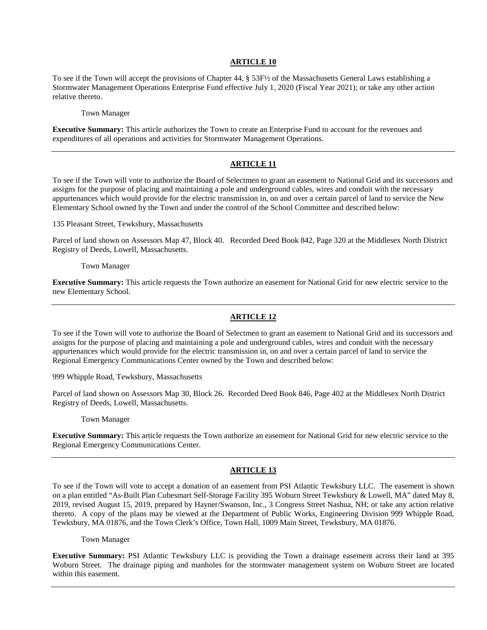To see if the Town will accept the provisions of Chapter 44, § 53F½ of the Massachusetts General Laws establishing a Stormwater Management Operations Enterprise Fund effective July 1, 2020 (Fiscal Year 2021); or take any other action relative thereto.

Town Manager

**Executive Summary:** This article authorizes the Town to create an Enterprise Fund to account for the revenues and expenditures of all operations and activities for Stormwater Management Operations.

## **ARTICLE 11**

To see if the Town will vote to authorize the Board of Selectmen to grant an easement to National Grid and its successors and assigns for the purpose of placing and maintaining a pole and underground cables, wires and conduit with the necessary appurtenances which would provide for the electric transmission in, on and over a certain parcel of land to service the New Elementary School owned by the Town and under the control of the School Committee and described below:

135 Pleasant Street, Tewksbury, Massachusetts

Parcel of land shown on Assessors Map 47, Block 40. Recorded Deed Book 842, Page 320 at the Middlesex North District Registry of Deeds, Lowell, Massachusetts.

Town Manager

**Executive Summary:** This article requests the Town authorize an easement for National Grid for new electric service to the new Elementary School.

## **ARTICLE 12**

To see if the Town will vote to authorize the Board of Selectmen to grant an easement to National Grid and its successors and assigns for the purpose of placing and maintaining a pole and underground cables, wires and conduit with the necessary appurtenances which would provide for the electric transmission in, on and over a certain parcel of land to service the Regional Emergency Communications Center owned by the Town and described below:

999 Whipple Road, Tewksbury, Massachusetts

Parcel of land shown on Assessors Map 30, Block 26. Recorded Deed Book 846, Page 402 at the Middlesex North District Registry of Deeds, Lowell, Massachusetts.

Town Manager

**Executive Summary:** This article requests the Town authorize an easement for National Grid for new electric service to the Regional Emergency Communications Center.

## **ARTICLE 13**

To see if the Town will vote to accept a donation of an easement from PSI Atlantic Tewksbury LLC. The easement is shown on a plan entitled "As-Built Plan Cubesmart Self-Storage Facility 395 Woburn Street Tewksbury & Lowell, MA" dated May 8, 2019, revised August 15, 2019, prepared by Hayner/Swanson, Inc., 3 Congress Street Nashua, NH; or take any action relative thereto. A copy of the plans may be viewed at the Department of Public Works, Engineering Division 999 Whipple Road, Tewksbury, MA 01876, and the Town Clerk's Office, Town Hall, 1009 Main Street, Tewksbury, MA 01876.

Town Manager

**Executive Summary:** PSI Atlantic Tewksbury LLC is providing the Town a drainage easement across their land at 395 Woburn Street. The drainage piping and manholes for the stormwater management system on Woburn Street are located within this easement.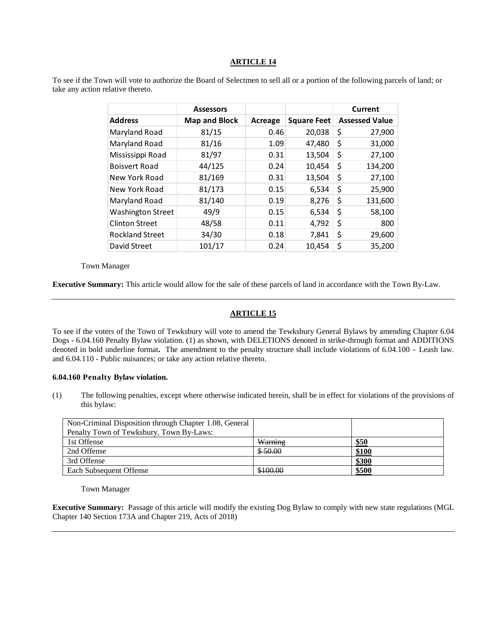To see if the Town will vote to authorize the Board of Selectmen to sell all or a portion of the following parcels of land; or take any action relative thereto.

|                          | <b>Assessors</b>     |         |                    | Current               |
|--------------------------|----------------------|---------|--------------------|-----------------------|
| <b>Address</b>           | <b>Map and Block</b> | Acreage | <b>Square Feet</b> | <b>Assessed Value</b> |
| Maryland Road            | 81/15                | 0.46    | 20,038             | \$<br>27,900          |
| Maryland Road            | 81/16                | 1.09    | 47,480             | \$<br>31,000          |
| Mississippi Road         | 81/97                | 0.31    | 13,504             | \$<br>27,100          |
| <b>Boisvert Road</b>     | 44/125               | 0.24    | 10,454             | \$<br>134,200         |
| New York Road            | 81/169               | 0.31    | 13,504             | \$<br>27,100          |
| New York Road            | 81/173               | 0.15    | 6,534              | \$<br>25,900          |
| Maryland Road            | 81/140               | 0.19    | 8,276              | \$<br>131,600         |
| <b>Washington Street</b> | 49/9                 | 0.15    | 6,534              | \$<br>58,100          |
| <b>Clinton Street</b>    | 48/58                | 0.11    | 4,792              | \$<br>800             |
| <b>Rockland Street</b>   | 34/30                | 0.18    | 7,841              | \$<br>29,600          |
| David Street             | 101/17               | 0.24    | 10,454             | \$<br>35,200          |

Town Manager

**Executive Summary:** This article would allow for the sale of these parcels of land in accordance with the Town By-Law.

#### **ARTICLE 15**

To see if the voters of the Town of Tewksbury will vote to amend the Tewksbury General Bylaws by amending Chapter 6.04 Dogs - 6.04.160 Penalty Bylaw violation. (1) as shown, with DELETIONS denoted in strike-through format and ADDITIONS denoted in bold underline format**.** The amendment to the penalty structure shall include violations of 6.04.100 - Leash law. and 6.04.110 - Public nuisances; or take any action relative thereto.

#### **6.04.160 Penalty Bylaw violation.**

(1) The following penalties, except where otherwise indicated herein, shall be in effect for violations of the provisions of this bylaw:

| Non-Criminal Disposition through Chapter 1.08, General |          |       |
|--------------------------------------------------------|----------|-------|
| Penalty Town of Tewksbury, Town By-Laws:               |          |       |
| 1st Offense                                            | Warning  | \$50  |
| 2nd Offense                                            | \$50.00  | \$100 |
| 3rd Offense                                            |          | \$300 |
| Each Subsequent Offense                                | \$100.00 | \$500 |

Town Manager

**Executive Summary:** Passage of this article will modify the existing Dog Bylaw to comply with new state regulations (MGL Chapter 140 Section 173A and Chapter 219, Acts of 2018)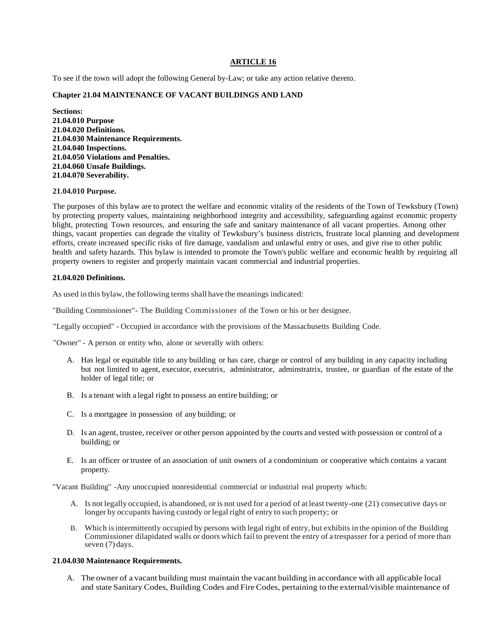To see if the town will adopt the following General by-Law; or take any action relative thereto.

## **Chapter 21.04 MAINTENANCE OF VACANT BUILDINGS AND LAND**

**Sections: 21.04.010 Purpose 21.04.020 Definitions. 21.04.030 Maintenance Requirements. 21.04.040 Inspections. 21.04.050 Violations and Penalties. 21.04.060 Unsafe Buildings. 21.04.070 Severability.**

#### **21.04.010 Purpose.**

The purposes of this bylaw are to protect the welfare and economic vitality of the residents of the Town of Tewksbury (Town) by protecting property values, maintaining neighborhood integrity and accessibility, safeguarding against economic property blight, protecting Town resources, and ensuring the safe and sanitary maintenance of all vacant properties. Among other things, vacant properties can degrade the vitality of Tewksbury's business districts, frustrate local planning and development efforts, create increased specific risks of fire damage, vandalism and unlawful entry or uses, and give rise to other public health and safety hazards. This bylaw is intended to promote the Town's public welfare and economic health by requiring all property owners to register and properly maintain vacant commercial and industrial properties.

#### **21.04.020 Definitions.**

As used in this bylaw, the following terms shall have the meanings indicated:

"Building Commissioner"- The Building Commissioner of the Town or his or her designee.

"Legally occupied" - Occupied in accordance with the provisions of the Massachusetts Building Code.

"Owner" - A person or entity who, alone or severally with others:

- A. Has legal or equitable title to any building or has care, charge or control of any building in any capacity including but not limited to agent, executor, executrix, administrator, adminstratrix, trustee, or guardian of the estate of the holder of legal title; or
- B. Is a tenant with a legal right to possess an entire building; or
- C. Is a mortgagee in possession of any building; or
- D. Is an agent, trustee, receiver or other person appointed by the courts and vested with possession or control of a building; or
- E. Is an officer or trustee of an association of unit owners of a condominium or cooperative which contains a vacant property.

"Vacant Building" -Any unoccupied nonresidential commercial or industrial real property which:

- A. Is not legally occupied, is abandoned, or is not used for a period of at least twenty-one (21) consecutive days or longer by occupants having custody or legal right of entry to such property; or
- B. Which isintermittently occupied by persons with legal right of entry, but exhibits in the opinion of the Building Commissioner dilapidated walls or doors which fail to prevent the entry of a trespasser for a period of more than seven (7) days.

#### **21.04.030 Maintenance Requirements.**

A. The owner of a vacant building must maintain the vacant building in accordance with all applicable local and state Sanitary Codes, Building Codes and Fire Codes, pertaining to the external/visible maintenance of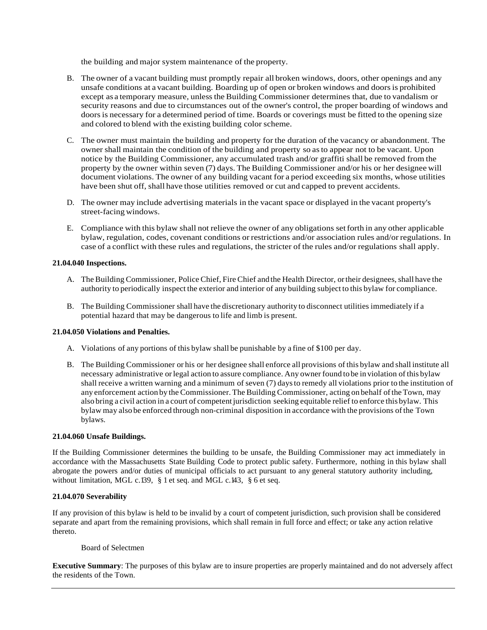the building and major system maintenance of the property.

- B. The owner of a vacant building must promptly repair all broken windows, doors, other openings and any unsafe conditions at a vacant building. Boarding up of open or broken windows and doors is prohibited except as a temporary measure, unlessthe Building Commissioner determines that, due to vandalism or security reasons and due to circumstances out of the owner's control, the proper boarding of windows and doors is necessary for a determined period of time. Boards or coverings must be fitted to the opening size and colored to blend with the existing building color scheme.
- C. The owner must maintain the building and property for the duration of the vacancy or abandonment. The owner shall maintain the condition of the building and property so asto appear not to be vacant. Upon notice by the Building Commissioner, any accumulated trash and/or graffiti shall be removed from the property by the owner within seven (7) days. The Building Commissioner and/or his or her designee will document violations. The owner of any building vacant for a period exceeding six months, whose utilities have been shut off, shall have those utilities removed or cut and capped to prevent accidents.
- D. The owner may include advertising materials in the vacant space or displayed in the vacant property's street-facing windows.
- E. Compliance with this bylaw shall not relieve the owner of any obligations setforth in any other applicable bylaw, regulation, codes, covenant conditions or restrictions and/or association rules and/or regulations. In case of a conflict with these rules and regulations, the stricter of the rules and/or regulations shall apply.

## **21.04.040 Inspections.**

- A. The Building Commissioner, Police Chief, Fire Chief and the Health Director, or their designees, shall have the authority to periodically inspect the exterior and interior of any building subject to this bylaw for compliance.
- B. The Building Commissioner shall have the discretionary authority to disconnect utilities immediately if a potential hazard that may be dangerous to life and limb is present.

## **21.04.050 Violations and Penalties.**

- A. Violations of any portions of this bylaw shall be punishable by a fine of \$100 per day.
- B. The Building Commissioner or his or her designee shall enforce all provisions of this bylaw and shall institute all necessary administrative orlegal action to assure compliance. Any owner found to be in violation of this bylaw shall receive a written warning and a minimum of seven (7) daysto remedy all violations prior to the institution of any enforcement action by theCommissioner. The Building Commissioner, acting on behalf oftheTown, may also bring a civil action in a court of competent jurisdiction seeking equitable relief to enforce this bylaw. This bylaw may also be enforced through non-criminal disposition in accordance with the provisions ofthe Town bylaws.

#### **21.04.060 Unsafe Buildings.**

If the Building Commissioner determines the building to be unsafe, the Building Commissioner may act immediately in accordance with the Massachusetts State Building Code to protect public safety. Furthermore, nothing in this bylaw shall abrogate the powers and/or duties of municipal officials to act pursuant to any general statutory authority including, without limitation, MGL c.139, § 1 et seq. and MGL c.143, § 6 et seq.

# **21.04.070 Severability**

If any provision of this bylaw is held to be invalid by a court of competent jurisdiction, such provision shall be considered separate and apart from the remaining provisions, which shall remain in full force and effect; or take any action relative thereto.

#### Board of Selectmen

**Executive Summary**: The purposes of this bylaw are to insure properties are properly maintained and do not adversely affect the residents of the Town.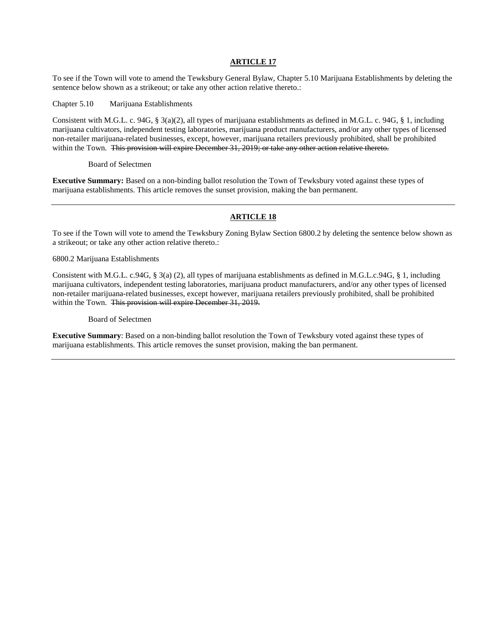To see if the Town will vote to amend the Tewksbury General Bylaw, Chapter 5.10 Marijuana Establishments by deleting the sentence below shown as a strikeout; or take any other action relative thereto.:

Chapter 5.10 Marijuana Establishments

Consistent with M.G.L. c. 94G, § 3(a)(2), all types of marijuana establishments as defined in M.G.L. c. 94G, § 1, including marijuana cultivators, independent testing laboratories, marijuana product manufacturers, and/or any other types of licensed non-retailer marijuana-related businesses, except, however, marijuana retailers previously prohibited, shall be prohibited within the Town. This provision will expire December 31, 2019; or take any other action relative thereto.

Board of Selectmen

**Executive Summary:** Based on a non-binding ballot resolution the Town of Tewksbury voted against these types of marijuana establishments. This article removes the sunset provision, making the ban permanent.

## **ARTICLE 18**

To see if the Town will vote to amend the Tewksbury Zoning Bylaw Section 6800.2 by deleting the sentence below shown as a strikeout; or take any other action relative thereto.:

6800.2 Marijuana Establishments

Consistent with M.G.L. c.94G, § 3(a) (2), all types of marijuana establishments as defined in M.G.L.c.94G, § 1, including marijuana cultivators, independent testing laboratories, marijuana product manufacturers, and/or any other types of licensed non-retailer marijuana-related businesses, except however, marijuana retailers previously prohibited, shall be prohibited within the Town. This provision will expire December 31, 2019.

#### Board of Selectmen

**Executive Summary**: Based on a non-binding ballot resolution the Town of Tewksbury voted against these types of marijuana establishments. This article removes the sunset provision, making the ban permanent.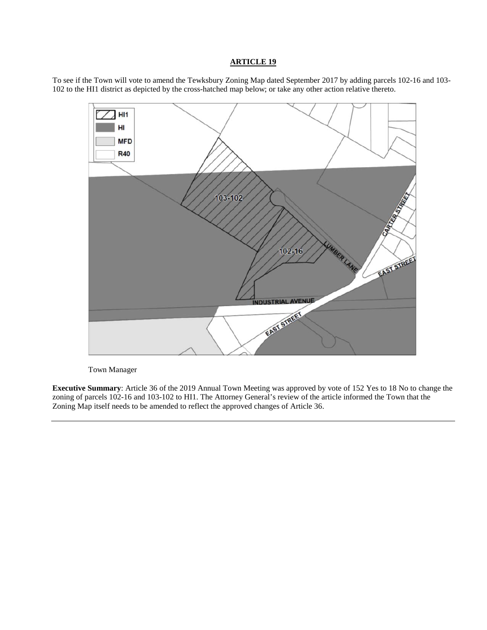To see if the Town will vote to amend the Tewksbury Zoning Map dated September 2017 by adding parcels 102-16 and 103- 102 to the HI1 district as depicted by the cross-hatched map below; or take any other action relative thereto.



Town Manager

**Executive Summary**: Article 36 of the 2019 Annual Town Meeting was approved by vote of 152 Yes to 18 No to change the zoning of parcels 102-16 and 103-102 to HI1. The Attorney General's review of the article informed the Town that the Zoning Map itself needs to be amended to reflect the approved changes of Article 36.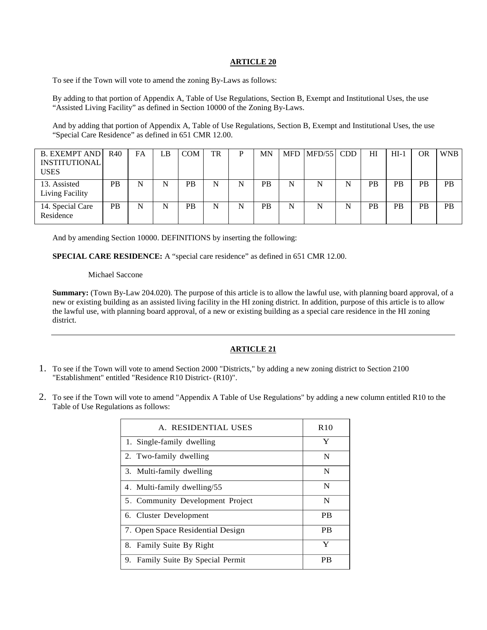To see if the Town will vote to amend the zoning By-Laws as follows:

By adding to that portion of Appendix A, Table of Use Regulations, Section B, Exempt and Institutional Uses, the use "Assisted Living Facility" as defined in Section 10000 of the Zoning By-Laws.

And by adding that portion of Appendix A, Table of Use Regulations, Section B, Exempt and Institutional Uses, the use "Special Care Residence" as defined in 651 CMR 12.00.

| <b>B. EXEMPT AND</b><br><b>INSTITUTIONAL</b><br><b>USES</b> | R40       | FA | LB | <b>COM</b> | TR | P | MN        |   | $MFD$ $MFD/55$ $CDD$ |   | HI        | $HI-1$    | <b>OR</b> | WNB       |
|-------------------------------------------------------------|-----------|----|----|------------|----|---|-----------|---|----------------------|---|-----------|-----------|-----------|-----------|
| 13. Assisted<br>Living Facility                             | <b>PB</b> | N  | N  | <b>PB</b>  | N  | N | <b>PB</b> | N | N                    | N | <b>PB</b> | <b>PB</b> | PB        | <b>PB</b> |
| 14. Special Care<br>Residence                               | <b>PB</b> | N  |    | <b>PB</b>  | N  | N | <b>PB</b> | N | N                    |   | <b>PB</b> | <b>PB</b> | PB        | <b>PB</b> |

And by amending Section 10000. DEFINITIONS by inserting the following:

**SPECIAL CARE RESIDENCE:** A "special care residence" as defined in 651 CMR 12.00.

#### Michael Saccone

**Summary:** (Town By-Law 204.020). The purpose of this article is to allow the lawful use, with planning board approval, of a new or existing building as an assisted living facility in the HI zoning district. In addition, purpose of this article is to allow the lawful use, with planning board approval, of a new or existing building as a special care residence in the HI zoning district.

## **ARTICLE 21**

- 1. To see if the Town will vote to amend Section 2000 "Districts," by adding a new zoning district to Section 2100 "Establishment" entitled "Residence R10 District- (R10)".
- 2. To see if the Town will vote to amend "Appendix A Table of Use Regulations" by adding a new column entitled R10 to the Table of Use Regulations as follows:

| A. RESIDENTIAL USES               | R <sub>10</sub> |
|-----------------------------------|-----------------|
| 1. Single-family dwelling         | Y               |
| 2. Two-family dwelling            | N               |
| 3. Multi-family dwelling          | N               |
| 4. Multi-family dwelling/55       | N               |
| 5. Community Development Project  | N               |
| 6. Cluster Development            | <b>PB</b>       |
| 7. Open Space Residential Design  | <b>PB</b>       |
| 8. Family Suite By Right          | Y               |
| 9. Family Suite By Special Permit | РB              |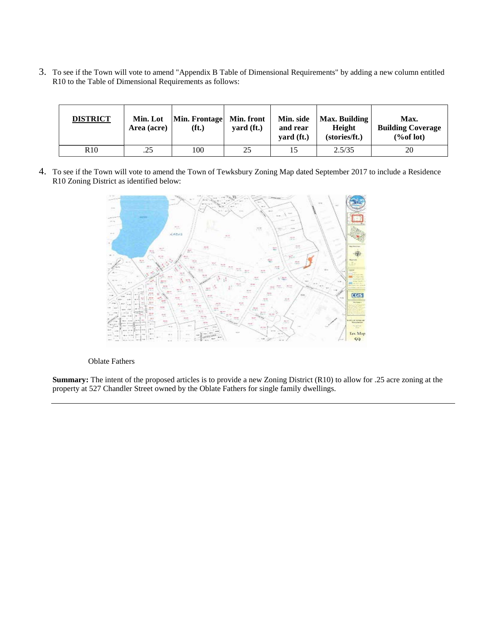3. To see if the Town will vote to amend "Appendix B Table of Dimensional Requirements" by adding a new column entitled R10 to the Table of Dimensional Requirements as follows:

| <b>DISTRICT</b> | Min. Lot<br>Area (acre) | Min. Frontage<br>(f <sub>t</sub> ) | Min. front<br>yard (ft.) | Min. side<br>and rear<br>$\mathbf{yard}(\mathbf{ft.})$ | Max. Building<br>Height<br>(stories/ft.) | Max.<br><b>Building Coverage</b><br>% of lot) |
|-----------------|-------------------------|------------------------------------|--------------------------|--------------------------------------------------------|------------------------------------------|-----------------------------------------------|
| R10             | .25                     | 100                                | 25                       |                                                        | 2.5/35                                   | 20                                            |

4. To see if the Town will vote to amend the Town of Tewksbury Zoning Map dated September 2017 to include a Residence R10 Zoning District as identified below:



#### Oblate Fathers

**Summary:** The intent of the proposed articles is to provide a new Zoning District (R10) to allow for .25 acre zoning at the property at 527 Chandler Street owned by the Oblate Fathers for single family dwellings.